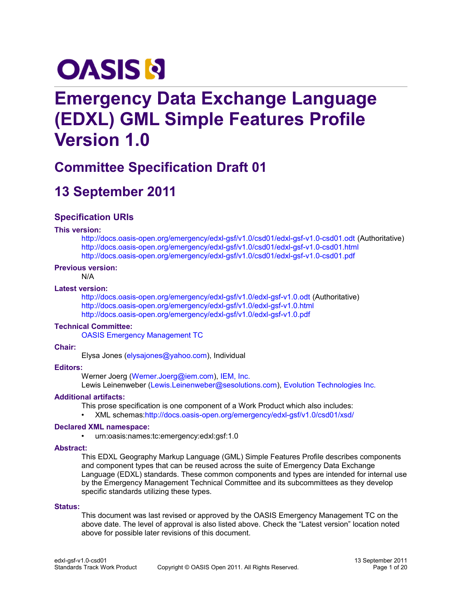# **OASIS N**

# **Emergency Data Exchange Language (EDXL) GML Simple Features Profile Version 1.0**

## **Committee Specification Draft 01**

# **13 September 2011**

### **Specification URIs**

#### **This version:**

<http://docs.oasis-open.org/emergency/edxl-gsf/v1.0/csd01/edxl-gsf-v1.0-csd01.odt>(Authoritative) <http://docs.oasis-open.org/emergency/edxl-gsf/v1.0/csd01/edxl-gsf-v1.0-csd01.html> <http://docs.oasis-open.org/emergency/edxl-gsf/v1.0/csd01/edxl-gsf-v1.0-csd01.pdf>

### **Previous version:**

N/A

#### **Latest version:**

<http://docs.oasis-open.org/emergency/edxl-gsf/v1.0/edxl-gsf-v1.0.odt>(Authoritative) <http://docs.oasis-open.org/emergency/edxl-gsf/v1.0/edxl-gsf-v1.0.html> <http://docs.oasis-open.org/emergency/edxl-gsf/v1.0/edxl-gsf-v1.0.pdf>

### **Technical Committee:**

[OASIS Emergency Management TC](http://www.oasis-open.org/committees/emergency/)

#### **Chair:**

Elysa Jones [\(elysajones@yahoo.com\)](mailto:elysajones@yahoo.com), Individual

### **Editors:**

Werner Joerg [\(Werner.Joerg@iem.com\)](mailto:Werner.Joerg@iem.com), [IEM, Inc.](http://www.iem.com/) Lewis Leinenweber [\(Lewis.Leinenweber@sesolutions.com\)](mailto:Lewis.Leinenweber@sesolutions.com), [Evolution Technologies Inc.](http://www.evotecinc.com/)

### **Additional artifacts:**

This prose specification is one component of a Work Product which also includes:

• XML schemas[:http://docs.oasis-open.org/emergency/edxl-gsf/v1.0/csd01/xsd/](http://docs.oasis-open.org/emergency/edxl-gsf/v1.0/csd01/xsd/)

### **Declared XML namespace:**

• urn:oasis:names:tc:emergency:edxl:gsf:1.0

### **Abstract:**

This EDXL Geography Markup Language (GML) Simple Features Profile describes components and component types that can be reused across the suite of Emergency Data Exchange Language (EDXL) standards. These common components and types are intended for internal use by the Emergency Management Technical Committee and its subcommittees as they develop specific standards utilizing these types.

#### **Status:**

This document was last revised or approved by the OASIS Emergency Management TC on the above date. The level of approval is also listed above. Check the "Latest version" location noted above for possible later revisions of this document.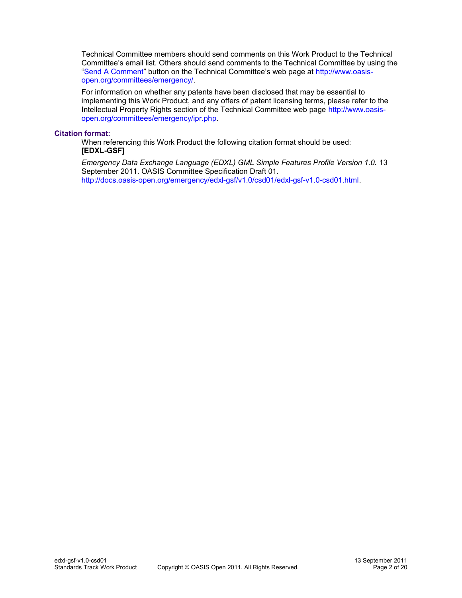Technical Committee members should send comments on this Work Product to the Technical Committee's email list. Others should send comments to the Technical Committee by using the ["Send A Comment"](http://www.oasis-open.org/committees/comments/form.php?wg_abbrev=emergency) button on the Technical Committee's web page at [http://www.oasis](http://www.oasis-open.org/committees/emergency/)[open.org/committees/emergency/.](http://www.oasis-open.org/committees/emergency/)

For information on whether any patents have been disclosed that may be essential to implementing this Work Product, and any offers of patent licensing terms, please refer to the Intellectual Property Rights section of the Technical Committee web page [http://www.oasis](http://www.oasis-open.org/committees/emergency/ipr.php)[open.org/committees/emergency/ipr.php.](http://www.oasis-open.org/committees/emergency/ipr.php)

#### **Citation format:**

When referencing this Work Product the following citation format should be used: **[EDXL-GSF]**

*Emergency Data Exchange Language (EDXL) GML Simple Features Profile Version 1.0.* 13 September 2011. OASIS Committee Specification Draft 01. [http://docs.oasis-open.org/emergency/edxl-gsf/v1.0/csd01/edxl-gsf-v1.0-csd01.html.](http://docs.oasis-open.org/emergency/edxl-gsf/v1.0/csd01/edxl-gsf-v1.0-csd01.html)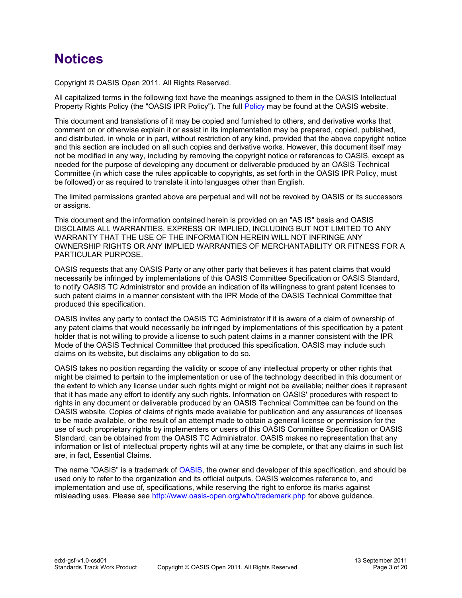## **Notices**

Copyright © OASIS Open 2011. All Rights Reserved.

All capitalized terms in the following text have the meanings assigned to them in the OASIS Intellectual Property Rights Policy (the "OASIS IPR Policy"). The full [Policy](http://www.oasis-open.org/who/intellectualproperty.php) may be found at the OASIS website.

This document and translations of it may be copied and furnished to others, and derivative works that comment on or otherwise explain it or assist in its implementation may be prepared, copied, published, and distributed, in whole or in part, without restriction of any kind, provided that the above copyright notice and this section are included on all such copies and derivative works. However, this document itself may not be modified in any way, including by removing the copyright notice or references to OASIS, except as needed for the purpose of developing any document or deliverable produced by an OASIS Technical Committee (in which case the rules applicable to copyrights, as set forth in the OASIS IPR Policy, must be followed) or as required to translate it into languages other than English.

The limited permissions granted above are perpetual and will not be revoked by OASIS or its successors or assigns.

This document and the information contained herein is provided on an "AS IS" basis and OASIS DISCLAIMS ALL WARRANTIES, EXPRESS OR IMPLIED, INCLUDING BUT NOT LIMITED TO ANY WARRANTY THAT THE USE OF THE INFORMATION HEREIN WILL NOT INFRINGE ANY OWNERSHIP RIGHTS OR ANY IMPLIED WARRANTIES OF MERCHANTABILITY OR FITNESS FOR A PARTICULAR PURPOSE.

OASIS requests that any OASIS Party or any other party that believes it has patent claims that would necessarily be infringed by implementations of this OASIS Committee Specification or OASIS Standard, to notify OASIS TC Administrator and provide an indication of its willingness to grant patent licenses to such patent claims in a manner consistent with the IPR Mode of the OASIS Technical Committee that produced this specification.

OASIS invites any party to contact the OASIS TC Administrator if it is aware of a claim of ownership of any patent claims that would necessarily be infringed by implementations of this specification by a patent holder that is not willing to provide a license to such patent claims in a manner consistent with the IPR Mode of the OASIS Technical Committee that produced this specification. OASIS may include such claims on its website, but disclaims any obligation to do so.

OASIS takes no position regarding the validity or scope of any intellectual property or other rights that might be claimed to pertain to the implementation or use of the technology described in this document or the extent to which any license under such rights might or might not be available; neither does it represent that it has made any effort to identify any such rights. Information on OASIS' procedures with respect to rights in any document or deliverable produced by an OASIS Technical Committee can be found on the OASIS website. Copies of claims of rights made available for publication and any assurances of licenses to be made available, or the result of an attempt made to obtain a general license or permission for the use of such proprietary rights by implementers or users of this OASIS Committee Specification or OASIS Standard, can be obtained from the OASIS TC Administrator. OASIS makes no representation that any information or list of intellectual property rights will at any time be complete, or that any claims in such list are, in fact, Essential Claims.

The name "OASIS" is a trademark of [OASIS,](http://www.oasis-open.org/) the owner and developer of this specification, and should be used only to refer to the organization and its official outputs. OASIS welcomes reference to, and implementation and use of, specifications, while reserving the right to enforce its marks against misleading uses. Please see<http://www.oasis-open.org/who/trademark.php>for above guidance.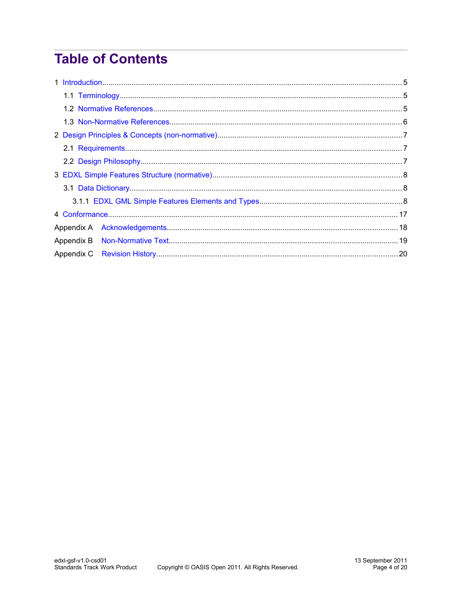# **Table of Contents**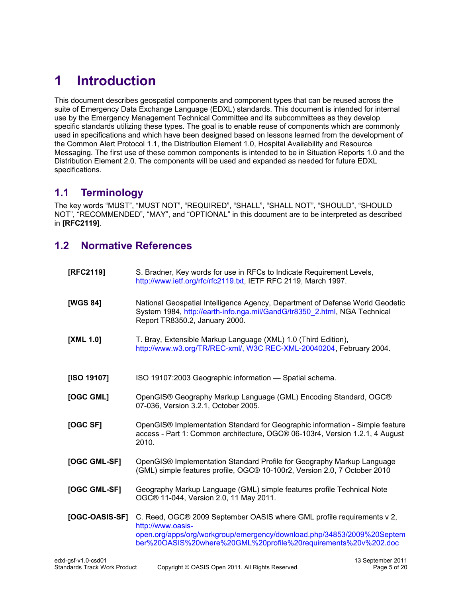# <span id="page-4-2"></span>**1 Introduction**

This document describes geospatial components and component types that can be reused across the suite of Emergency Data Exchange Language (EDXL) standards. This document is intended for internal use by the Emergency Management Technical Committee and its subcommittees as they develop specific standards utilizing these types. The goal is to enable reuse of components which are commonly used in specifications and which have been designed based on lessons learned from the development of the Common Alert Protocol 1.1, the Distribution Element 1.0, Hospital Availability and Resource Messaging. The first use of these common components is intended to be in Situation Reports 1.0 and the Distribution Element 2.0. The components will be used and expanded as needed for future EDXL specifications.

### <span id="page-4-1"></span>**1.1 Terminology**

The key words "MUST", "MUST NOT", "REQUIRED", "SHALL", "SHALL NOT", "SHOULD", "SHOULD NOT", "RECOMMENDED", "MAY", and "OPTIONAL" in this document are to be interpreted as described in **[\[RFC2119\]](#page-4-3)**.

### <span id="page-4-0"></span>**1.2 Normative References**

<span id="page-4-4"></span><span id="page-4-3"></span>

| [RFC2119]      | S. Bradner, Key words for use in RFCs to Indicate Requirement Levels,<br>http://www.ietf.org/rfc/rfc2119.txt, IETF RFC 2119, March 1997.                                                                                                |
|----------------|-----------------------------------------------------------------------------------------------------------------------------------------------------------------------------------------------------------------------------------------|
| [WGS 84]       | National Geospatial Intelligence Agency, Department of Defense World Geodetic<br>System 1984, http://earth-info.nga.mil/GandG/tr8350_2.html, NGA Technical<br>Report TR8350.2, January 2000.                                            |
| [XML 1.0]      | T. Bray, Extensible Markup Language (XML) 1.0 (Third Edition),<br>http://www.w3.org/TR/REC-xml/, W3C REC-XML-20040204, February 2004.                                                                                                   |
| [ISO 19107]    | ISO 19107:2003 Geographic information - Spatial schema.                                                                                                                                                                                 |
| [OGC GML]      | OpenGIS® Geography Markup Language (GML) Encoding Standard, OGC®<br>07-036, Version 3.2.1, October 2005.                                                                                                                                |
| [OGC SF]       | OpenGIS® Implementation Standard for Geographic information - Simple feature<br>access - Part 1: Common architecture, OGC® 06-103r4, Version 1.2.1, 4 August<br>2010.                                                                   |
| [OGC GML-SF]   | OpenGIS <sup>®</sup> Implementation Standard Profile for Geography Markup Language<br>(GML) simple features profile, OGC® 10-100r2, Version 2.0, 7 October 2010                                                                         |
| [OGC GML-SF]   | Geography Markup Language (GML) simple features profile Technical Note<br>OGC® 11-044, Version 2.0, 11 May 2011.                                                                                                                        |
| [OGC-OASIS-SF] | C. Reed, OGC® 2009 September OASIS where GML profile requirements v 2,<br>http://www.oasis-<br>open.org/apps/org/workgroup/emergency/download.php/34853/2009%20Septem<br>ber%20OASIS%20where%20GML%20profile%20requirements%20v%202.doc |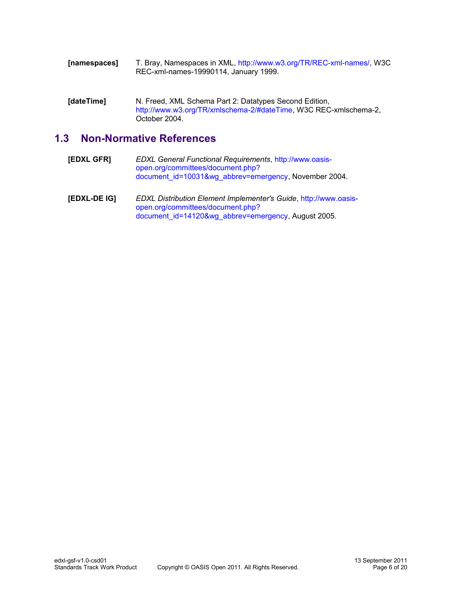| [namespaces] | T. Bray, Namespaces in XML, http://www.w3.org/TR/REC-xml-names/, W3C |
|--------------|----------------------------------------------------------------------|
|              | REC-xml-names-19990114, January 1999.                                |

**[dateTime]** N. Freed, XML Schema Part 2: Datatypes Second Edition, [http://www.w3.org/TR/xmlschema-2/#dateTime,](http://www.w3.org/TR/xmlschema-2/#dateTime) W3C REC-xmlschema-2, October 2004.

### <span id="page-5-0"></span>**1.3 Non-Normative References**

- **[EDXL GFR]** *EDXL General Functional Requirements*, [http://www.oasis](http://www.oasis-open.org/committees/document.php?document_id=10031&wg_abbrev=emergency)[open.org/committees/document.php?](http://www.oasis-open.org/committees/document.php?document_id=10031&wg_abbrev=emergency) [document\\_id=10031&wg\\_abbrev=emergency,](http://www.oasis-open.org/committees/document.php?document_id=10031&wg_abbrev=emergency) November 2004.
- **[EDXL-DE IG]** *EDXL Distribution Element Implementer's Guide*, [http://www.oasis](http://www.oasis-open.org/committees/document.php?document_id=14120&wg_abbrev=emergency)[open.org/committees/document.php?](http://www.oasis-open.org/committees/document.php?document_id=14120&wg_abbrev=emergency) [document\\_id=14120&wg\\_abbrev=emergency,](http://www.oasis-open.org/committees/document.php?document_id=14120&wg_abbrev=emergency) August 2005.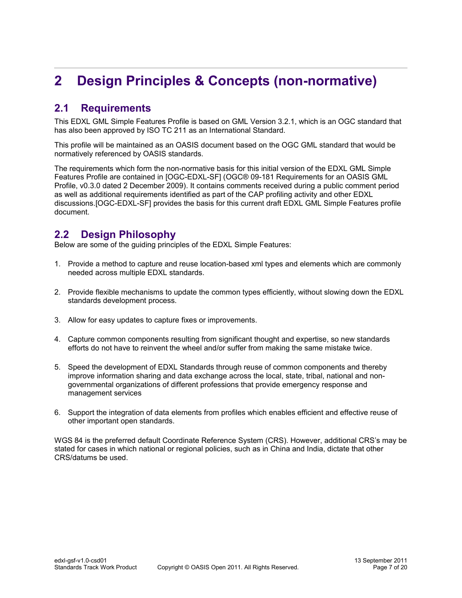# <span id="page-6-2"></span>**2 Design Principles & Concepts (non-normative)**

### <span id="page-6-1"></span>**2.1 Requirements**

This EDXL GML Simple Features Profile is based on GML Version 3.2.1, which is an OGC standard that has also been approved by ISO TC 211 as an International Standard.

This profile will be maintained as an OASIS document based on the OGC GML standard that would be normatively referenced by OASIS standards.

The requirements which form the non-normative basis for this initial version of the EDXL GML Simple Features Profile are contained in [OGC-EDXL-SF] (OGC® 09-181 Requirements for an OASIS GML Profile, v0.3.0 dated 2 December 2009). It contains comments received during a public comment period as well as additional requirements identified as part of the CAP profiling activity and other EDXL discussions.[OGC-EDXL-SF] provides the basis for this current draft EDXL GML Simple Features profile document.

### <span id="page-6-0"></span>**2.2 Design Philosophy**

Below are some of the guiding principles of the EDXL Simple Features:

- 1. Provide a method to capture and reuse location-based xml types and elements which are commonly needed across multiple EDXL standards.
- 2. Provide flexible mechanisms to update the common types efficiently, without slowing down the EDXL standards development process.
- 3. Allow for easy updates to capture fixes or improvements.
- 4. Capture common components resulting from significant thought and expertise, so new standards efforts do not have to reinvent the wheel and/or suffer from making the same mistake twice.
- 5. Speed the development of EDXL Standards through reuse of common components and thereby improve information sharing and data exchange across the local, state, tribal, national and nongovernmental organizations of different professions that provide emergency response and management services
- 6. Support the integration of data elements from profiles which enables efficient and effective reuse of other important open standards.

WGS 84 is the preferred default Coordinate Reference System (CRS). However, additional CRS's may be stated for cases in which national or regional policies, such as in China and India, dictate that other CRS/datums be used.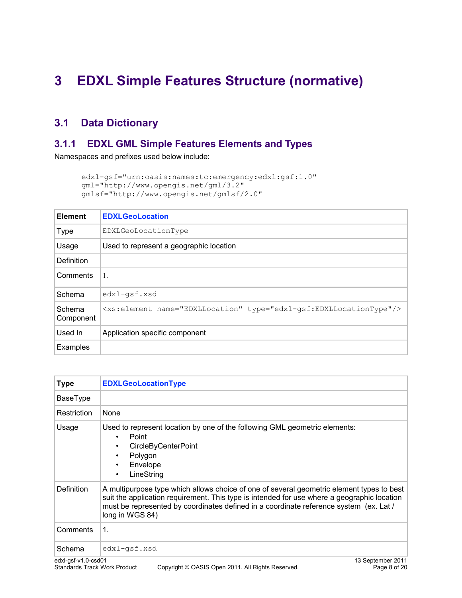# <span id="page-7-2"></span>**3 EDXL Simple Features Structure (normative)**

### <span id="page-7-1"></span>**3.1 Data Dictionary**

### <span id="page-7-0"></span>**3.1.1 EDXL GML Simple Features Elements and Types**

Namespaces and prefixes used below include:

```
edxl-gsf="urn:oasis:names:tc:emergency:edxl:gsf:1.0"
gml="http://www.opengis.net/gml/3.2"
gmlsf="http://www.opengis.net/gmlsf/2.0"
```

| <b>Element</b>      | <b>EDXLGeoLocation</b>                                                         |
|---------------------|--------------------------------------------------------------------------------|
| <b>Type</b>         | EDXLGeoLocationType                                                            |
| Usage               | Used to represent a geographic location                                        |
| Definition          |                                                                                |
| Comments            | 1.                                                                             |
| Schema              | edxl-qsf.xsd                                                                   |
| Schema<br>Component | <xs:element name="EDXLLocation" type="edxl-qsf:EDXLLocationType"></xs:element> |
| Used In             | Application specific component                                                 |
| Examples            |                                                                                |

| <b>Type</b>         | <b>EDXLGeoLocationType</b>                                                                                                                                                                                                                                                                            |
|---------------------|-------------------------------------------------------------------------------------------------------------------------------------------------------------------------------------------------------------------------------------------------------------------------------------------------------|
| BaseType            |                                                                                                                                                                                                                                                                                                       |
| Restriction         | None                                                                                                                                                                                                                                                                                                  |
| Usage               | Used to represent location by one of the following GML geometric elements:<br>Point<br>$\bullet$<br><b>CircleByCenterPoint</b><br>$\bullet$<br>Polygon<br>$\bullet$<br>Envelope<br>$\bullet$<br>LineString<br>٠                                                                                       |
| <b>Definition</b>   | A multipurpose type which allows choice of one of several geometric element types to best<br>suit the application requirement. This type is intended for use where a geographic location<br>must be represented by coordinates defined in a coordinate reference system (ex. Lat /<br>long in WGS 84) |
| Comments            | 1.                                                                                                                                                                                                                                                                                                    |
| Schema              | edxl-qsf.xsd                                                                                                                                                                                                                                                                                          |
| edxl-gsf-v1.0-csd01 | 13 September 2011                                                                                                                                                                                                                                                                                     |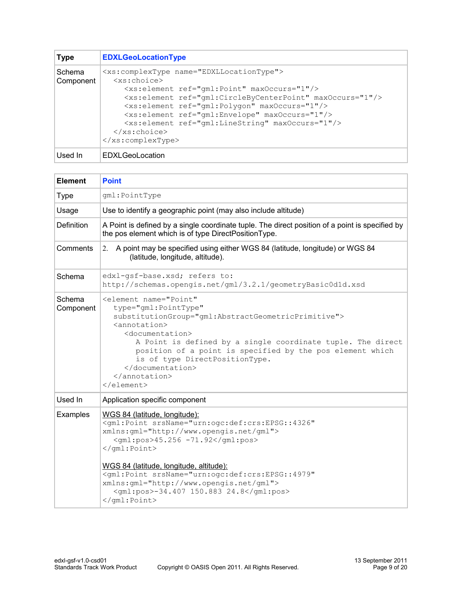| <b>Type</b>         | <b>EDXLGeoLocationType</b>                                                                                                                                                                                                                                                                                                                                                                                                                                                                                                           |
|---------------------|--------------------------------------------------------------------------------------------------------------------------------------------------------------------------------------------------------------------------------------------------------------------------------------------------------------------------------------------------------------------------------------------------------------------------------------------------------------------------------------------------------------------------------------|
| Schema<br>Component | <xs:complextype name="EDXLLocationType"><br/><math>&lt;</math>xs:choice&gt;<br/><xs:element maxoccurs="1" ref="gml:Point"></xs:element><br/><xs:element maxoccurs="1" ref="gml:CircleByCenterPoint"></xs:element><br/><xs:element maxoccurs="1" ref="gml:Polygon"></xs:element><br/><xs:element maxoccurs="1" ref="gml:Envelope"></xs:element><br/><xs:element maxoccurs="1" ref="gml:LineString"></xs:element><br/><math>\langle x s : \text{choice} \rangle</math><br/><math>\langle xs:complexType\rangle</math></xs:complextype> |
| Used In             | EDXLGeoLocation                                                                                                                                                                                                                                                                                                                                                                                                                                                                                                                      |

| <b>Element</b>      | <b>Point</b>                                                                                                                                                                                                                                                                                                                                                                                             |
|---------------------|----------------------------------------------------------------------------------------------------------------------------------------------------------------------------------------------------------------------------------------------------------------------------------------------------------------------------------------------------------------------------------------------------------|
| <b>Type</b>         | gml: PointType                                                                                                                                                                                                                                                                                                                                                                                           |
| Usage               | Use to identify a geographic point (may also include altitude)                                                                                                                                                                                                                                                                                                                                           |
| <b>Definition</b>   | A Point is defined by a single coordinate tuple. The direct position of a point is specified by<br>the pos element which is of type DirectPositionType.                                                                                                                                                                                                                                                  |
| Comments            | A point may be specified using either WGS 84 (latitude, longitude) or WGS 84<br>2.<br>(latitude, longitude, altitude).                                                                                                                                                                                                                                                                                   |
| Schema              | edxl-gsf-base.xsd; refers to:<br>http://schemas.opengis.net/gml/3.2.1/geometryBasic0dld.xsd                                                                                                                                                                                                                                                                                                              |
| Schema<br>Component | <element <br="" name="Point">type="qml:PointType"<br/>substitutionGroup="gml:AbstractGeometricPrimitive"&gt;<br/><annotation><br/><documentation><br/>A Point is defined by a single coordinate tuple. The direct<br/>position of a point is specified by the pos element which<br/>is of type DirectPositionType.<br/></documentation><br/></annotation><br/><math>\langle</math>/element&gt;</element> |
| Used In             | Application specific component                                                                                                                                                                                                                                                                                                                                                                           |
| Examples            | WGS 84 (latitude, longitude):<br><gml:point <br="" srsname="urn:ogc:def:crs:EPSG::4326">xmlns:gml="http://www.opengis.net/gml"&gt;<br/><gml:pos>45.256 -71.92</gml:pos><br/></gml:point><br>WGS 84 (latitude, longitude, altitude):<br><gml:point <br="" srsname="urn:ogc:def:crs:EPSG::4979">xmlns:gml="http://www.opengis.net/gml"&gt;<br/><gml:pos>-34.407 150.883 24.8</gml:pos><br/></gml:point>    |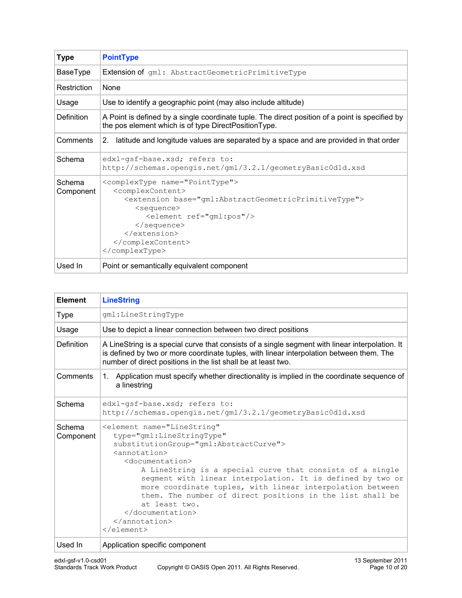| <b>Type</b>         | <b>PointType</b>                                                                                                                                                                                                                             |
|---------------------|----------------------------------------------------------------------------------------------------------------------------------------------------------------------------------------------------------------------------------------------|
| BaseType            | <b>Extension of gml: AbstractGeometricPrimitiveType</b>                                                                                                                                                                                      |
| Restriction         | <b>None</b>                                                                                                                                                                                                                                  |
| Usage               | Use to identify a geographic point (may also include altitude)                                                                                                                                                                               |
| Definition          | A Point is defined by a single coordinate tuple. The direct position of a point is specified by<br>the pos element which is of type DirectPositionType.                                                                                      |
| Comments            | 2. latitude and longitude values are separated by a space and are provided in that order                                                                                                                                                     |
| Schema              | edxl-gsf-base.xsd; refers to:<br>http://schemas.opengis.net/gml/3.2.1/geometryBasic0d1d.xsd                                                                                                                                                  |
| Schema<br>Component | <complextype name="PointType"><br/><complexcontent><br/><extension base="gml:AbstractGeometricPrimitiveType"><br/><sequence><br/><element ref="qml:pos"></element><br/></sequence><br/></extension><br/></complexcontent><br/></complextype> |
| Used In             | Point or semantically equivalent component                                                                                                                                                                                                   |

| <b>Element</b>      | <b>LineString</b>                                                                                                                                                                                                                                                                                                                                                                                                                                                                                                                           |
|---------------------|---------------------------------------------------------------------------------------------------------------------------------------------------------------------------------------------------------------------------------------------------------------------------------------------------------------------------------------------------------------------------------------------------------------------------------------------------------------------------------------------------------------------------------------------|
| <b>Type</b>         | gml:LineStringType                                                                                                                                                                                                                                                                                                                                                                                                                                                                                                                          |
| Usage               | Use to depict a linear connection between two direct positions                                                                                                                                                                                                                                                                                                                                                                                                                                                                              |
| Definition          | A LineString is a special curve that consists of a single segment with linear interpolation. It<br>is defined by two or more coordinate tuples, with linear interpolation between them. The<br>number of direct positions in the list shall be at least two.                                                                                                                                                                                                                                                                                |
| Comments            | 1. Application must specify whether directionality is implied in the coordinate sequence of<br>a linestring                                                                                                                                                                                                                                                                                                                                                                                                                                 |
| Schema              | edxl-qsf-base.xsd; refers to:<br>http://schemas.opengis.net/gml/3.2.1/geometryBasic0d1d.xsd                                                                                                                                                                                                                                                                                                                                                                                                                                                 |
| Schema<br>Component | <element <br="" name="LineString">type="gml:LineStringType"<br/>substitutionGroup="gml:AbstractCurve"&gt;<br/><math>\langle</math>annotation<math>\rangle</math><br/><documentation><br/>A LineString is a special curve that consists of a single<br/>segment with linear interpolation. It is defined by two or<br/>more coordinate tuples, with linear interpolation between<br/>them. The number of direct positions in the list shall be<br/>at least two.<br/></documentation><br/><math>\langle</math> annotation&gt;<br/></element> |
| Used In             | Application specific component                                                                                                                                                                                                                                                                                                                                                                                                                                                                                                              |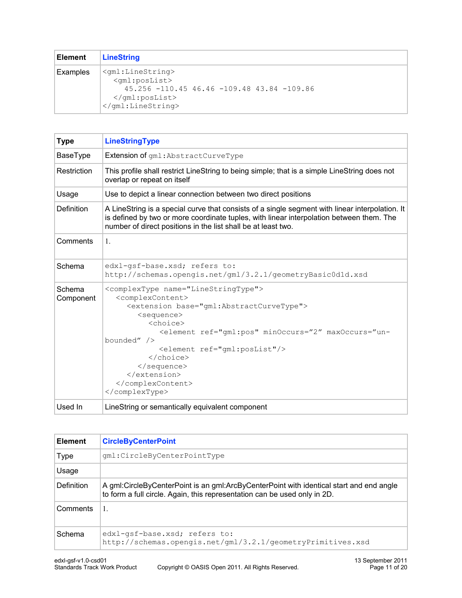| <b>Element</b> | <b>LineString</b>                                                                                                                                                                                                                   |
|----------------|-------------------------------------------------------------------------------------------------------------------------------------------------------------------------------------------------------------------------------------|
| Examples       | $\leq$ gml:LineString><br><gml:poslist><br/><math>45.256 - 110.45</math> <math>46.46 - 109.48</math> <math>43.84 - 109.86</math><br/><math>\langle</math>/qml:posList&gt;<br/><math>\langle</math>/qml:LineString&gt;</gml:poslist> |

| <b>Type</b>         | <b>LineStringType</b>                                                                                                                                                                                                                                                                                                                                              |
|---------------------|--------------------------------------------------------------------------------------------------------------------------------------------------------------------------------------------------------------------------------------------------------------------------------------------------------------------------------------------------------------------|
| BaseType            | Extension of gml: AbstractCurveType                                                                                                                                                                                                                                                                                                                                |
|                     |                                                                                                                                                                                                                                                                                                                                                                    |
| Restriction         | This profile shall restrict LineString to being simple; that is a simple LineString does not<br>overlap or repeat on itself                                                                                                                                                                                                                                        |
| Usage               | Use to depict a linear connection between two direct positions                                                                                                                                                                                                                                                                                                     |
| <b>Definition</b>   | A LineString is a special curve that consists of a single segment with linear interpolation. It<br>is defined by two or more coordinate tuples, with linear interpolation between them. The<br>number of direct positions in the list shall be at least two.                                                                                                       |
| Comments            | $\mathbf{1}$ .                                                                                                                                                                                                                                                                                                                                                     |
| Schema              | edxl-qsf-base.xsd; refers to:<br>http://schemas.opengis.net/gml/3.2.1/geometryBasicOd1d.xsd                                                                                                                                                                                                                                                                        |
| Schema<br>Component | <complextype name="LineStringType"><br/><complexcontent><br/><extension base="qml:AbstractCurveType"><br/><sequence><br/><choice><br/><element <math="" maxoccurs="un-&lt;br&gt;bounded" minoccurs="2" ref="gml:pos">/<br/><element ref="qml:posList"></element><br/></element></choice><br/></sequence><br/></extension><br/></complexcontent><br/></complextype> |
| Used In             | LineString or semantically equivalent component                                                                                                                                                                                                                                                                                                                    |

| <b>Element</b> | <b>CircleByCenterPoint</b>                                                                                                                                           |
|----------------|----------------------------------------------------------------------------------------------------------------------------------------------------------------------|
| <b>Type</b>    | qml:CircleByCenterPointType                                                                                                                                          |
| Usage          |                                                                                                                                                                      |
| Definition     | A gml:CircleByCenterPoint is an gml:ArcByCenterPoint with identical start and end angle<br>to form a full circle. Again, this representation can be used only in 2D. |
| Comments       | 1.                                                                                                                                                                   |
| Schema         | edxl-qsf-base.xsd; refers to:<br>http://schemas.opengis.net/gml/3.2.1/geometryPrimitives.xsd                                                                         |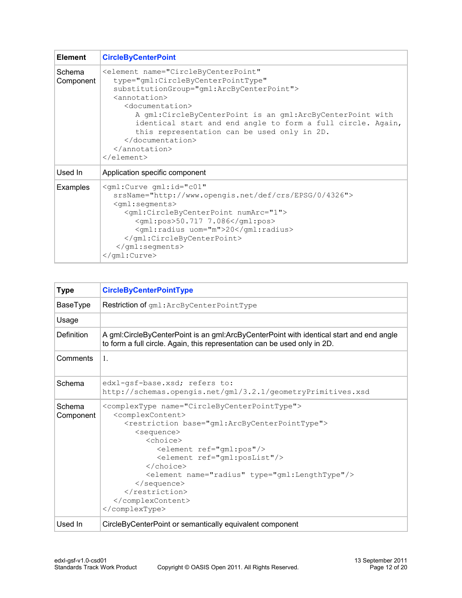| <b>Element</b>      | <b>CircleByCenterPoint</b>                                                                                                                                                                                                                                                                                                                                                                                                                 |  |  |
|---------------------|--------------------------------------------------------------------------------------------------------------------------------------------------------------------------------------------------------------------------------------------------------------------------------------------------------------------------------------------------------------------------------------------------------------------------------------------|--|--|
| Schema<br>Component | <element <br="" name="CircleByCenterPoint">type="qml:CircleByCenterPointType"<br/>substitutionGroup="gml:ArcByCenterPoint"&gt;<br/><annotation><br/><documentation><br/>A gml:CircleByCenterPoint is an gml:ArcByCenterPoint with<br/>identical start and end angle to form a full circle. Again,<br/>this representation can be used only in 2D.<br/></documentation><br/><math>\langle</math> annotation&gt;<br/></annotation></element> |  |  |
| Used In             | Application specific component                                                                                                                                                                                                                                                                                                                                                                                                             |  |  |
| Examples            | $\le$ qml:Curve qml:id="c01"<br>srsName="http://www.opengis.net/def/crs/EPSG/0/4326"><br>$\le$ qml: seqments><br><gml:circlebycenterpoint numarc="1"><br/><gml:pos>50.717 7.086</gml:pos><br/><gml:radius uom="m">20</gml:radius><br/></gml:circlebycenterpoint><br>$\langle$ /qml:seqments><br>                                                                                                                                           |  |  |

| <b>Type</b>         | <b>CircleByCenterPointType</b>                                                                                                                                                                                                                                                                                                                                                                                                                        |  |  |  |
|---------------------|-------------------------------------------------------------------------------------------------------------------------------------------------------------------------------------------------------------------------------------------------------------------------------------------------------------------------------------------------------------------------------------------------------------------------------------------------------|--|--|--|
| BaseType            | Restriction of gml: ArcByCenterPointType                                                                                                                                                                                                                                                                                                                                                                                                              |  |  |  |
| Usage               |                                                                                                                                                                                                                                                                                                                                                                                                                                                       |  |  |  |
| Definition          | A gml:CircleByCenterPoint is an gml:ArcByCenterPoint with identical start and end angle<br>to form a full circle. Again, this representation can be used only in 2D.                                                                                                                                                                                                                                                                                  |  |  |  |
| Comments            | $\mathbf{1}$ .                                                                                                                                                                                                                                                                                                                                                                                                                                        |  |  |  |
| Schema              | edxl-gsf-base.xsd; refers to:<br>http://schemas.opengis.net/gml/3.2.1/geometryPrimitives.xsd                                                                                                                                                                                                                                                                                                                                                          |  |  |  |
| Schema<br>Component | <complextype name="CircleByCenterPointType"><br/><complexcontent><br/><restriction base="qml:ArcByCenterPointType"><br/><sequence><br/><choice><br/><element ref="qml:pos"></element><br/><element ref="qml:posList"></element><br/><math>\langle</math>/choice&gt;<br/><element name="radius" type="qml:LengthType"></element><br/><math>\langle</math>/sequence&gt;<br/></choice></sequence></restriction><br/></complexcontent><br/></complextype> |  |  |  |
| Used In             | CircleByCenterPoint or semantically equivalent component                                                                                                                                                                                                                                                                                                                                                                                              |  |  |  |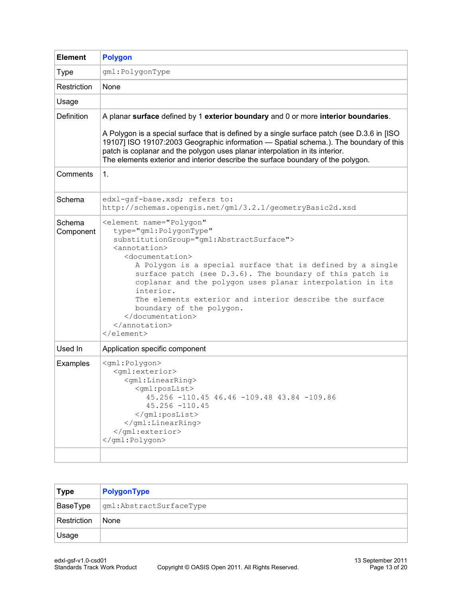| <b>Element</b>      | <b>Polygon</b>                                                                                                                                                                                                                                                                                                                                                                                                                                                                                    |  |  |  |  |  |
|---------------------|---------------------------------------------------------------------------------------------------------------------------------------------------------------------------------------------------------------------------------------------------------------------------------------------------------------------------------------------------------------------------------------------------------------------------------------------------------------------------------------------------|--|--|--|--|--|
| <b>Type</b>         | gml:PolygonType                                                                                                                                                                                                                                                                                                                                                                                                                                                                                   |  |  |  |  |  |
| Restriction         | None                                                                                                                                                                                                                                                                                                                                                                                                                                                                                              |  |  |  |  |  |
| Usage               |                                                                                                                                                                                                                                                                                                                                                                                                                                                                                                   |  |  |  |  |  |
| Definition          | A planar surface defined by 1 exterior boundary and 0 or more interior boundaries.                                                                                                                                                                                                                                                                                                                                                                                                                |  |  |  |  |  |
|                     | A Polygon is a special surface that is defined by a single surface patch (see D.3.6 in [ISO<br>19107] ISO 19107:2003 Geographic information - Spatial schema.). The boundary of this<br>patch is coplanar and the polygon uses planar interpolation in its interior.<br>The elements exterior and interior describe the surface boundary of the polygon.                                                                                                                                          |  |  |  |  |  |
| Comments            | 1.                                                                                                                                                                                                                                                                                                                                                                                                                                                                                                |  |  |  |  |  |
| Schema              | edxl-gsf-base.xsd; refers to:<br>http://schemas.opengis.net/gml/3.2.1/geometryBasic2d.xsd                                                                                                                                                                                                                                                                                                                                                                                                         |  |  |  |  |  |
| Schema<br>Component | <element <br="" name="Polygon">type="gml:PolygonType"<br/>substitutionGroup="gml:AbstractSurface"&gt;<br/><annotation><br/><documentation><br/>A Polygon is a special surface that is defined by a single<br/>surface patch (see D.3.6). The boundary of this patch is<br/>coplanar and the polygon uses planar interpolation in its<br/>interior.<br/>The elements exterior and interior describe the surface<br/>boundary of the polygon.<br/></documentation><br/></annotation><br/></element> |  |  |  |  |  |
| Used In             | Application specific component                                                                                                                                                                                                                                                                                                                                                                                                                                                                    |  |  |  |  |  |
| Examples            | <gml:polygon><br/><gml:exterior><br/><gml:linearring><br/><gml:poslist><br/>45.256 -110.45 46.46 -109.48 43.84 -109.86<br/><math>45.256 - 110.45</math><br/></gml:poslist><br/><math>\langle</math>/qml:LinearRing&gt;<br/></gml:linearring></gml:exterior><br/></gml:polygon>                                                                                                                                                                                                                    |  |  |  |  |  |
|                     |                                                                                                                                                                                                                                                                                                                                                                                                                                                                                                   |  |  |  |  |  |

| <b>Type</b> | PolygonType              |
|-------------|--------------------------|
| BaseType    | gml: AbstractSurfaceType |
| Restriction | None                     |
| Usage       |                          |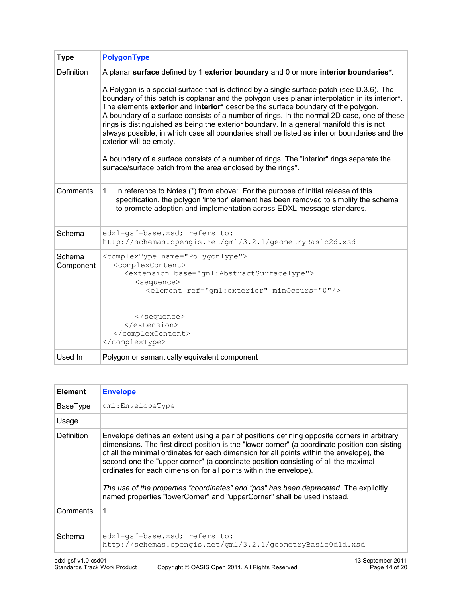| <b>Type</b>         | <b>PolygonType</b>                                                                                                                                                                                                                                                                                                                                                                                                                                                                                                                                                                                                 |  |  |  |
|---------------------|--------------------------------------------------------------------------------------------------------------------------------------------------------------------------------------------------------------------------------------------------------------------------------------------------------------------------------------------------------------------------------------------------------------------------------------------------------------------------------------------------------------------------------------------------------------------------------------------------------------------|--|--|--|
| <b>Definition</b>   | A planar surface defined by 1 exterior boundary and 0 or more interior boundaries*.                                                                                                                                                                                                                                                                                                                                                                                                                                                                                                                                |  |  |  |
|                     | A Polygon is a special surface that is defined by a single surface patch (see D.3.6). The<br>boundary of this patch is coplanar and the polygon uses planar interpolation in its interior <sup>*</sup> .<br>The elements exterior and interior* describe the surface boundary of the polygon.<br>A boundary of a surface consists of a number of rings. In the normal 2D case, one of these<br>rings is distinguished as being the exterior boundary. In a general manifold this is not<br>always possible, in which case all boundaries shall be listed as interior boundaries and the<br>exterior will be empty. |  |  |  |
|                     | A boundary of a surface consists of a number of rings. The "interior" rings separate the<br>surface/surface patch from the area enclosed by the rings*.                                                                                                                                                                                                                                                                                                                                                                                                                                                            |  |  |  |
| Comments            | In reference to Notes (*) from above: For the purpose of initial release of this<br>1.<br>specification, the polygon 'interior' element has been removed to simplify the schema<br>to promote adoption and implementation across EDXL message standards.                                                                                                                                                                                                                                                                                                                                                           |  |  |  |
| Schema              | edxl-gsf-base.xsd; refers to:<br>http://schemas.opengis.net/gml/3.2.1/geometryBasic2d.xsd                                                                                                                                                                                                                                                                                                                                                                                                                                                                                                                          |  |  |  |
| Schema<br>Component | <complextype name="PolygonType"><br/><complexcontent><br/><extension base="gml:AbstractSurfaceType"><br/><sequence><br/><element minoccurs="0" ref="gml:exterior"></element></sequence></extension></complexcontent></complextype>                                                                                                                                                                                                                                                                                                                                                                                 |  |  |  |
|                     | <br><br><br>                                                                                                                                                                                                                                                                                                                                                                                                                                                                                                                                                                                                       |  |  |  |
| Used In             | Polygon or semantically equivalent component                                                                                                                                                                                                                                                                                                                                                                                                                                                                                                                                                                       |  |  |  |

| <b>Element</b> | <b>Envelope</b>                                                                                                                                                                                                                                                                                                                                                                                                                                                                                                                                                                                                          |  |  |  |
|----------------|--------------------------------------------------------------------------------------------------------------------------------------------------------------------------------------------------------------------------------------------------------------------------------------------------------------------------------------------------------------------------------------------------------------------------------------------------------------------------------------------------------------------------------------------------------------------------------------------------------------------------|--|--|--|
| BaseType       | qml:EnvelopeType                                                                                                                                                                                                                                                                                                                                                                                                                                                                                                                                                                                                         |  |  |  |
| Usage          |                                                                                                                                                                                                                                                                                                                                                                                                                                                                                                                                                                                                                          |  |  |  |
| Definition     | Envelope defines an extent using a pair of positions defining opposite corners in arbitrary<br>dimensions. The first direct position is the "lower corner" (a coordinate position con-sisting<br>of all the minimal ordinates for each dimension for all points within the envelope), the<br>second one the "upper corner" (a coordinate position consisting of all the maximal<br>ordinates for each dimension for all points within the envelope).<br>The use of the properties "coordinates" and "pos" has been deprecated. The explicitly<br>named properties "lowerCorner" and "upperCorner" shall be used instead. |  |  |  |
| Comments       | 1.                                                                                                                                                                                                                                                                                                                                                                                                                                                                                                                                                                                                                       |  |  |  |
| <b>Schema</b>  | edxl-qsf-base.xsd; refers to:<br>http://schemas.opengis.net/gml/3.2.1/geometryBasic0dld.xsd                                                                                                                                                                                                                                                                                                                                                                                                                                                                                                                              |  |  |  |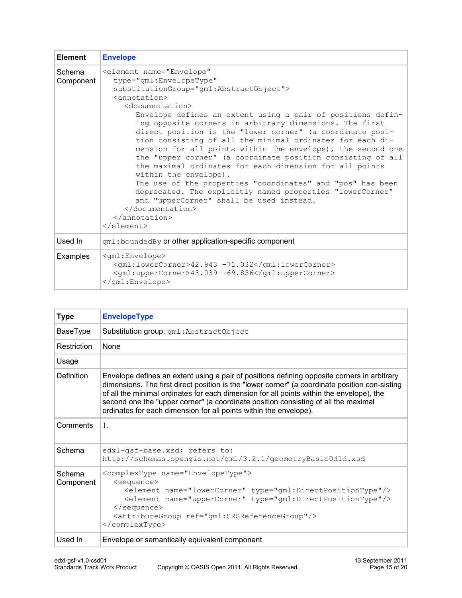| <b>Element</b>      | <b>Envelope</b>                                                                                                                                                                                                                                                                                                                                                                                                                                                                                                                                                                                                                                                                                                                                                                                                                                                                              |  |  |
|---------------------|----------------------------------------------------------------------------------------------------------------------------------------------------------------------------------------------------------------------------------------------------------------------------------------------------------------------------------------------------------------------------------------------------------------------------------------------------------------------------------------------------------------------------------------------------------------------------------------------------------------------------------------------------------------------------------------------------------------------------------------------------------------------------------------------------------------------------------------------------------------------------------------------|--|--|
| Schema<br>Component | <element <br="" name="Envelope">type="qml:EnvelopeType"<br/>substitutionGroup="gml:AbstractObject"&gt;<br/><annotation><br/><documentation><br/>Envelope defines an extent using a pair of positions defin-<br/>ing opposite corners in arbitrary dimensions. The first<br/>direct position is the "lower corner" (a coordinate posi-<br/>tion consisting of all the minimal ordinates for each di-<br/>mension for all points within the envelope), the second one<br/>the "upper corner" (a coordinate position consisting of all<br/>the maximal ordinates for each dimension for all points<br/>within the envelope).<br/>The use of the properties "coordinates" and "pos" has been<br/>deprecated. The explicitly named properties "lowerCorner"<br/>and "upperCorner" shall be used instead.<br/></documentation><br/><math>\langle</math> annotation&gt;<br/></annotation></element> |  |  |
| Used In             | gml: boundedBy or other application-specific component                                                                                                                                                                                                                                                                                                                                                                                                                                                                                                                                                                                                                                                                                                                                                                                                                                       |  |  |
| Examples            | <gml:envelope><br/><gml:lowercorner>42.943 -71.032</gml:lowercorner><br/><gml:uppercorner>43.039 -69.856</gml:uppercorner><br/></gml:envelope>                                                                                                                                                                                                                                                                                                                                                                                                                                                                                                                                                                                                                                                                                                                                               |  |  |

| <b>Type</b>         | <b>EnvelopeType</b>                                                                                                                                                                                                                                                                                                                                                                                                                                  |  |  |
|---------------------|------------------------------------------------------------------------------------------------------------------------------------------------------------------------------------------------------------------------------------------------------------------------------------------------------------------------------------------------------------------------------------------------------------------------------------------------------|--|--|
| BaseType            | Substitution group: gml: AbstractObject                                                                                                                                                                                                                                                                                                                                                                                                              |  |  |
| Restriction         | <b>None</b>                                                                                                                                                                                                                                                                                                                                                                                                                                          |  |  |
| Usage               |                                                                                                                                                                                                                                                                                                                                                                                                                                                      |  |  |
| Definition          | Envelope defines an extent using a pair of positions defining opposite corners in arbitrary<br>dimensions. The first direct position is the "lower corner" (a coordinate position con-sisting<br>of all the minimal ordinates for each dimension for all points within the envelope), the<br>second one the "upper corner" (a coordinate position consisting of all the maximal<br>ordinates for each dimension for all points within the envelope). |  |  |
| Comments            | $\mathbf{1}$ .                                                                                                                                                                                                                                                                                                                                                                                                                                       |  |  |
| Schema              | edxl-qsf-base.xsd; refers to:<br>http://schemas.opengis.net/gml/3.2.1/geometryBasic0d1d.xsd                                                                                                                                                                                                                                                                                                                                                          |  |  |
| Schema<br>Component | <complextype name="EnvelopeType"><br/><sequence><br/><element name="lowerCorner" type="gml:DirectPositionType"></element><br/><element name="upperCorner" type="gml:DirectPositionType"></element><br/></sequence><br/><attributegroup ref="gml:SRSReferenceGroup"></attributegroup><br/></complextype>                                                                                                                                              |  |  |
| Used In             | Envelope or semantically equivalent component                                                                                                                                                                                                                                                                                                                                                                                                        |  |  |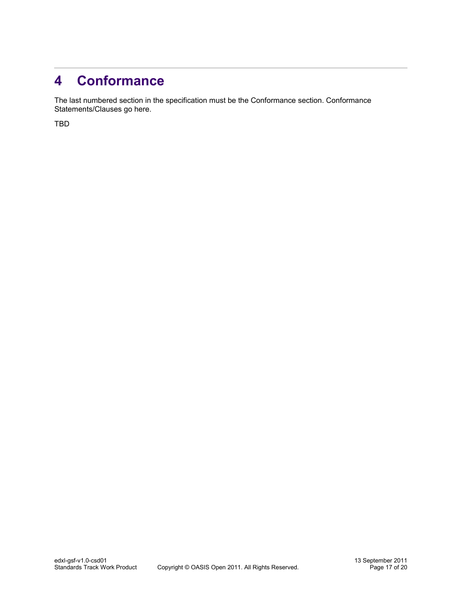## <span id="page-16-0"></span>**4 Conformance**

The last numbered section in the specification must be the Conformance section. Conformance Statements/Clauses go here.

TBD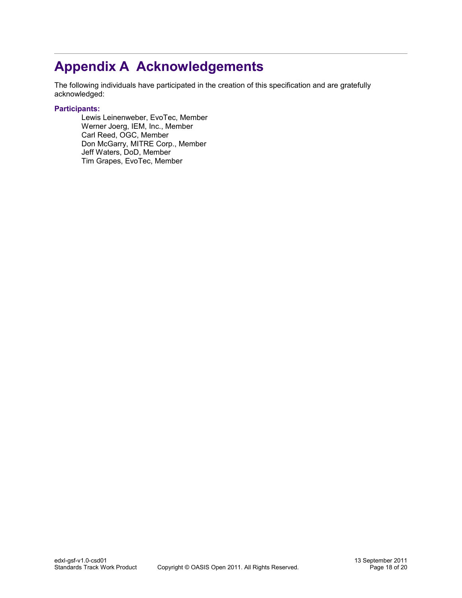### **Appendix A Acknowledgements**

The following individuals have participated in the creation of this specification and are gratefully acknowledged:

#### **Participants:**

<span id="page-17-0"></span>Lewis Leinenweber, EvoTec, Member Werner Joerg, IEM, Inc., Member Carl Reed, OGC, Member Don McGarry, MITRE Corp., Member Jeff Waters, DoD, Member Tim Grapes, EvoTec, Member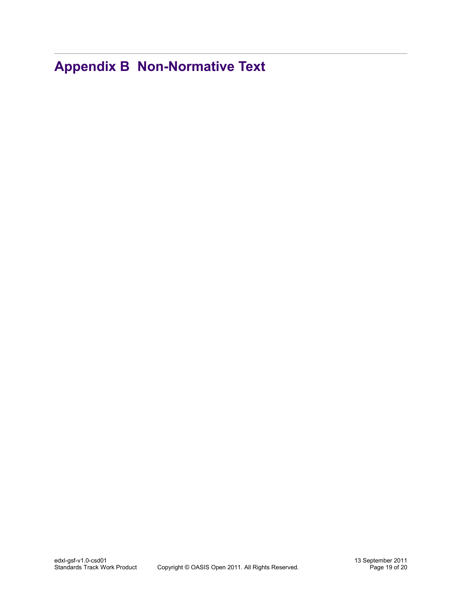<span id="page-18-0"></span>**Appendix B Non-Normative Text**